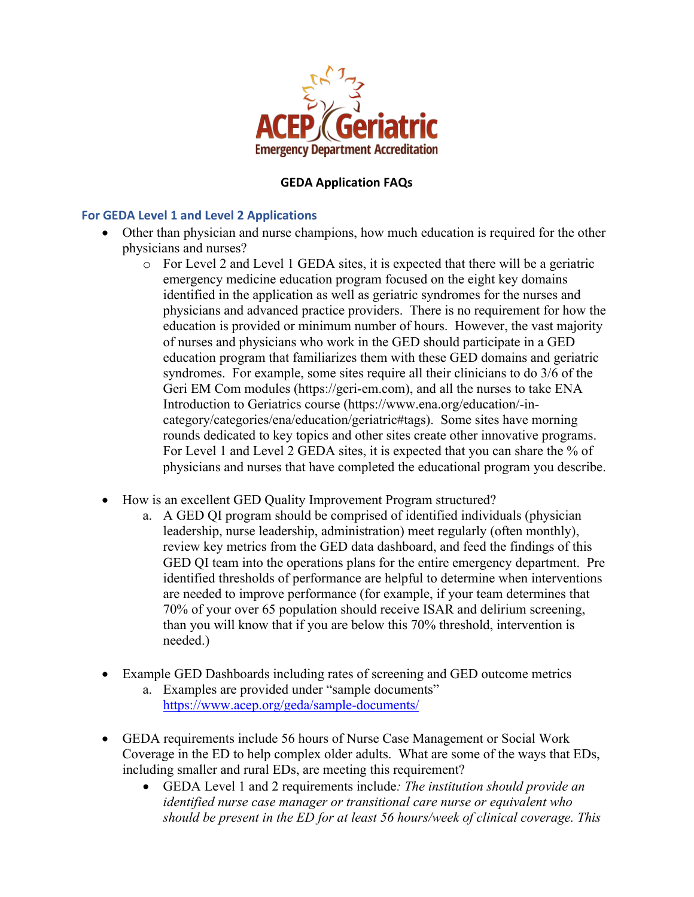

## **GEDA Application FAQs**

## **For GEDA Level 1 and Level 2 Applications**

- Other than physician and nurse champions, how much education is required for the other physicians and nurses?
	- $\circ$  For Level 2 and Level 1 GEDA sites, it is expected that there will be a geriatric emergency medicine education program focused on the eight key domains identified in the application as well as geriatric syndromes for the nurses and physicians and advanced practice providers. There is no requirement for how the education is provided or minimum number of hours. However, the vast majority of nurses and physicians who work in the GED should participate in a GED education program that familiarizes them with these GED domains and geriatric syndromes. For example, some sites require all their clinicians to do 3/6 of the Geri EM Com modules (https://geri-em.com), and all the nurses to take ENA Introduction to Geriatrics course (https://www.ena.org/education/-incategory/categories/ena/education/geriatric#tags). Some sites have morning rounds dedicated to key topics and other sites create other innovative programs. For Level 1 and Level 2 GEDA sites, it is expected that you can share the % of physicians and nurses that have completed the educational program you describe.
- How is an excellent GED Quality Improvement Program structured?
	- a. A GED QI program should be comprised of identified individuals (physician leadership, nurse leadership, administration) meet regularly (often monthly), review key metrics from the GED data dashboard, and feed the findings of this GED QI team into the operations plans for the entire emergency department. Pre identified thresholds of performance are helpful to determine when interventions are needed to improve performance (for example, if your team determines that 70% of your over 65 population should receive ISAR and delirium screening, than you will know that if you are below this 70% threshold, intervention is needed.)
- Example GED Dashboards including rates of screening and GED outcome metrics
	- a. Examples are provided under "sample documents" https://www.acep.org/geda/sample-documents/
- GEDA requirements include 56 hours of Nurse Case Management or Social Work Coverage in the ED to help complex older adults. What are some of the ways that EDs, including smaller and rural EDs, are meeting this requirement?
	- GEDA Level 1 and 2 requirements include*: The institution should provide an identified nurse case manager or transitional care nurse or equivalent who should be present in the ED for at least 56 hours/week of clinical coverage. This*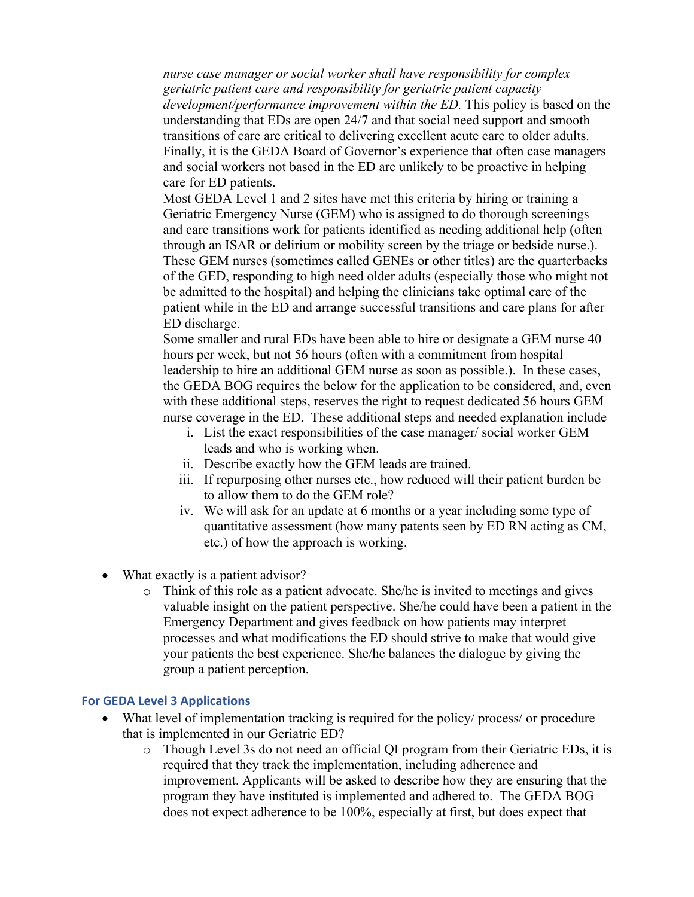*nurse case manager or social worker shall have responsibility for complex geriatric patient care and responsibility for geriatric patient capacity development/performance improvement within the ED.* This policy is based on the understanding that EDs are open 24/7 and that social need support and smooth transitions of care are critical to delivering excellent acute care to older adults. Finally, it is the GEDA Board of Governor's experience that often case managers and social workers not based in the ED are unlikely to be proactive in helping care for ED patients.

Most GEDA Level 1 and 2 sites have met this criteria by hiring or training a Geriatric Emergency Nurse (GEM) who is assigned to do thorough screenings and care transitions work for patients identified as needing additional help (often through an ISAR or delirium or mobility screen by the triage or bedside nurse.). These GEM nurses (sometimes called GENEs or other titles) are the quarterbacks of the GED, responding to high need older adults (especially those who might not be admitted to the hospital) and helping the clinicians take optimal care of the patient while in the ED and arrange successful transitions and care plans for after ED discharge.

Some smaller and rural EDs have been able to hire or designate a GEM nurse 40 hours per week, but not 56 hours (often with a commitment from hospital leadership to hire an additional GEM nurse as soon as possible.). In these cases, the GEDA BOG requires the below for the application to be considered, and, even with these additional steps, reserves the right to request dedicated 56 hours GEM nurse coverage in the ED. These additional steps and needed explanation include

- i. List the exact responsibilities of the case manager/ social worker GEM leads and who is working when.
- ii. Describe exactly how the GEM leads are trained.
- iii. If repurposing other nurses etc., how reduced will their patient burden be to allow them to do the GEM role?
- iv. We will ask for an update at 6 months or a year including some type of quantitative assessment (how many patents seen by ED RN acting as CM, etc.) of how the approach is working.
- What exactly is a patient advisor?
	- $\circ$  Think of this role as a patient advocate. She/he is invited to meetings and gives valuable insight on the patient perspective. She/he could have been a patient in the Emergency Department and gives feedback on how patients may interpret processes and what modifications the ED should strive to make that would give your patients the best experience. She/he balances the dialogue by giving the group a patient perception.

## **For GEDA Level 3 Applications**

- What level of implementation tracking is required for the policy/ process/ or procedure that is implemented in our Geriatric ED?
	- o Though Level 3s do not need an official QI program from their Geriatric EDs, it is required that they track the implementation, including adherence and improvement. Applicants will be asked to describe how they are ensuring that the program they have instituted is implemented and adhered to. The GEDA BOG does not expect adherence to be 100%, especially at first, but does expect that